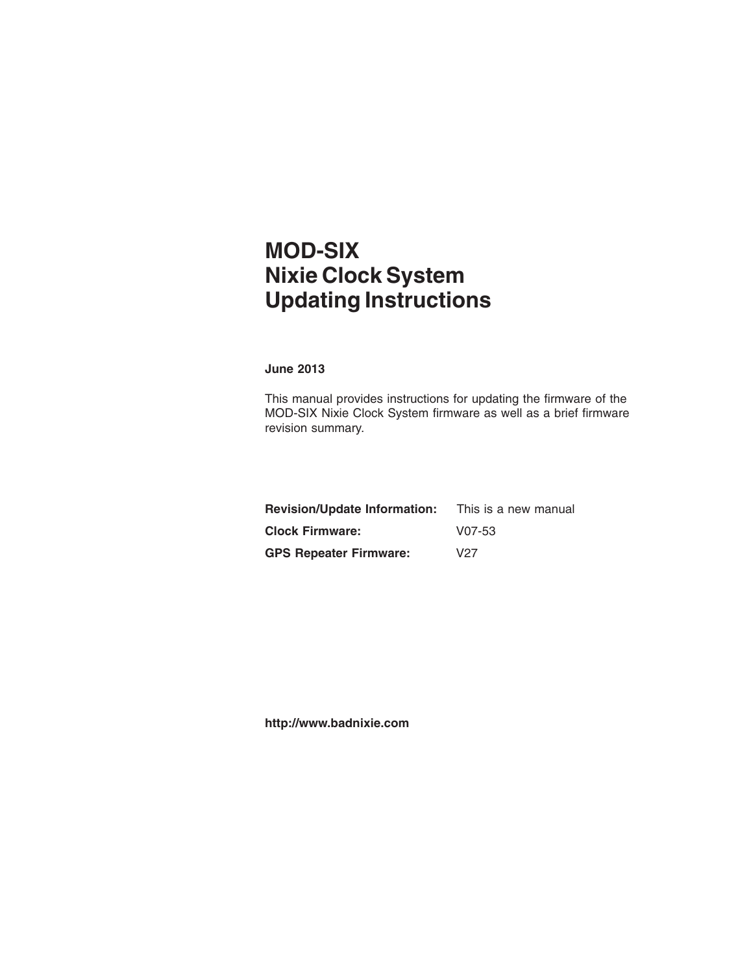## **MOD-SIX Nixie Clock System Updating Instructions**

#### **June 2013**

This manual provides instructions for updating the firmware of the MOD-SIX Nixie Clock System firmware as well as a brief firmware revision summary.

| <b>Revision/Update Information:</b> | This is a new manual |
|-------------------------------------|----------------------|
| <b>Clock Firmware:</b>              | $V07-53$             |
| <b>GPS Repeater Firmware:</b>       | V27                  |

**http://www.badnixie.com**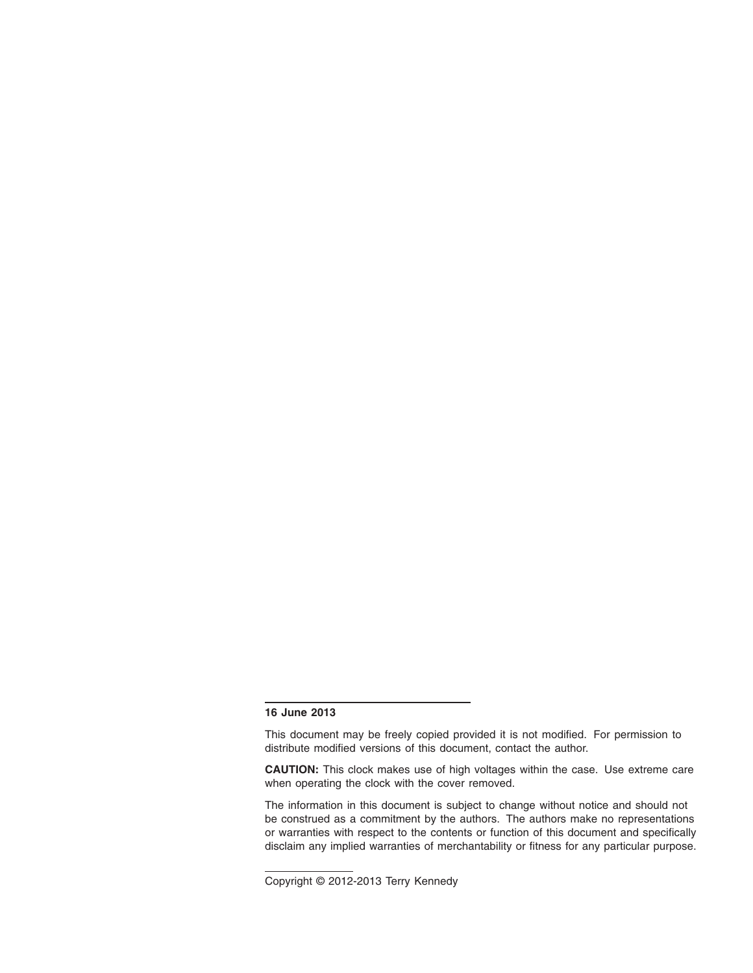#### **16 June 2013**

This document may be freely copied provided it is not modified. For permission to distribute modified versions of this document, contact the author.

**CAUTION:** This clock makes use of high voltages within the case. Use extreme care when operating the clock with the cover removed.

The information in this document is subject to change without notice and should not be construed as a commitment by the authors. The authors make no representations or warranties with respect to the contents or function of this document and specifically disclaim any implied warranties of merchantability or fitness for any particular purpose.

Copyright © 2012-2013 Terry Kennedy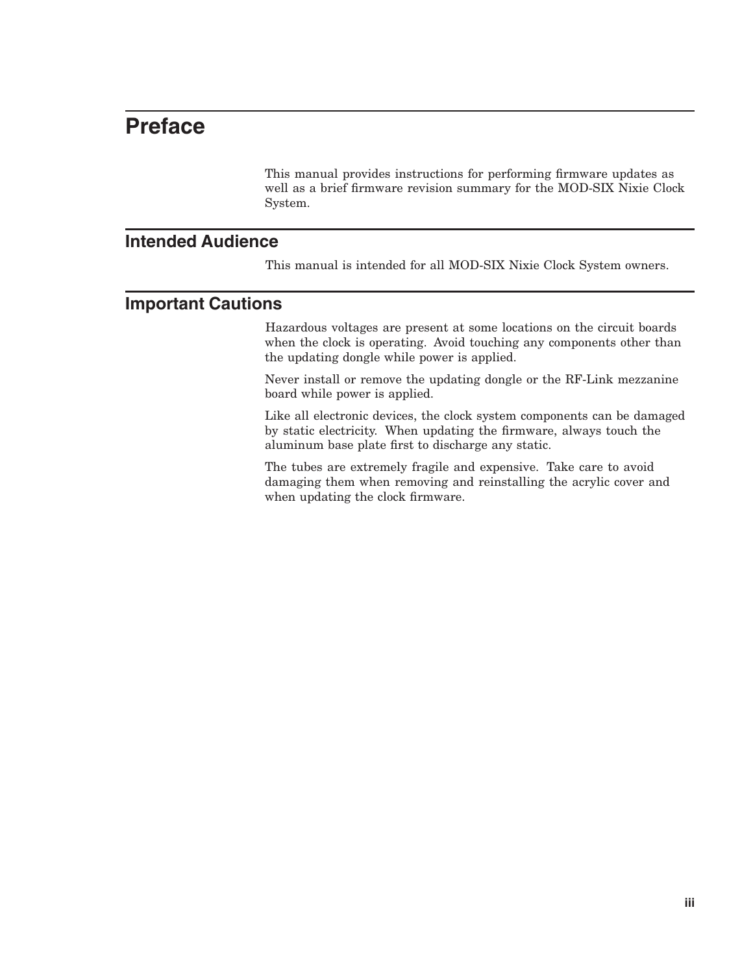## **Preface**

This manual provides instructions for performing firmware updates as well as a brief firmware revision summary for the MOD-SIX Nixie Clock System.

#### **Intended Audience**

This manual is intended for all MOD-SIX Nixie Clock System owners.

#### **Important Cautions**

Hazardous voltages are present at some locations on the circuit boards when the clock is operating. Avoid touching any components other than the updating dongle while power is applied.

Never install or remove the updating dongle or the RF-Link mezzanine board while power is applied.

Like all electronic devices, the clock system components can be damaged by static electricity. When updating the firmware, always touch the aluminum base plate first to discharge any static.

The tubes are extremely fragile and expensive. Take care to avoid damaging them when removing and reinstalling the acrylic cover and when updating the clock firmware.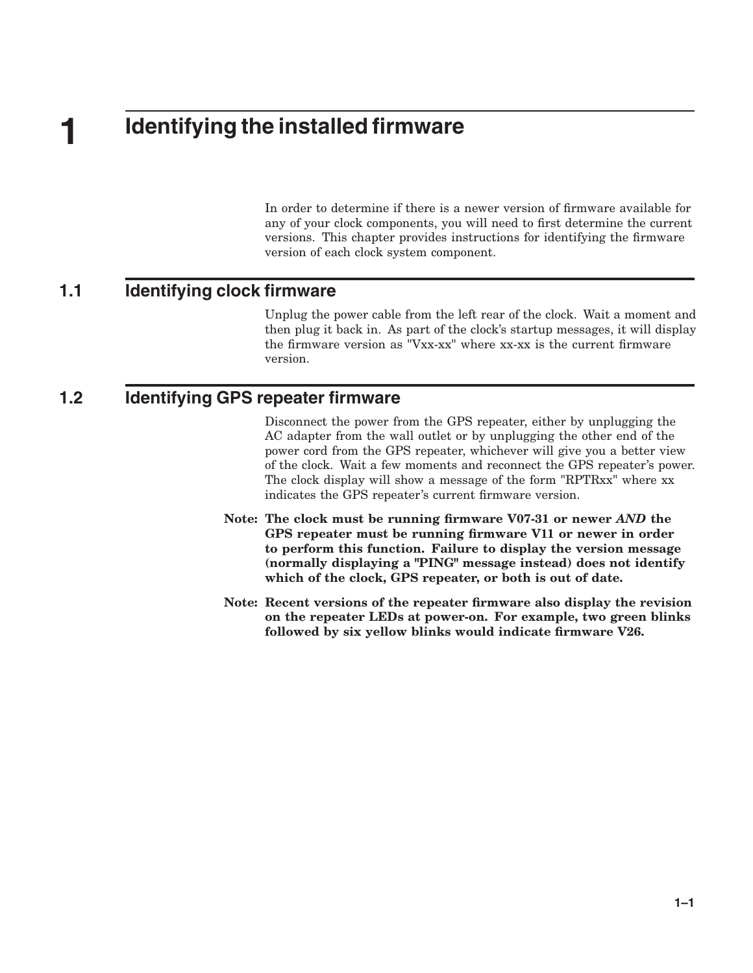# **1 Identifying the installed firmware**

In order to determine if there is a newer version of firmware available for any of your clock components, you will need to first determine the current versions. This chapter provides instructions for identifying the firmware version of each clock system component.

#### **1.1 Identifying clock firmware**

Unplug the power cable from the left rear of the clock. Wait a moment and then plug it back in. As part of the clock's startup messages, it will display the firmware version as "Vxx-xx" where xx-xx is the current firmware version.

#### **1.2 Identifying GPS repeater firmware**

Disconnect the power from the GPS repeater, either by unplugging the AC adapter from the wall outlet or by unplugging the other end of the power cord from the GPS repeater, whichever will give you a better view of the clock. Wait a few moments and reconnect the GPS repeater's power. The clock display will show a message of the form "RPTRxx" where xx indicates the GPS repeater's current firmware version.

- Note: The clock must be running firmware V07-31 or newer *AND* the GPS repeater must be running firmware V11 or newer in order to perform this function. Failure to display the version message (normally displaying a "PING" message instead) does not identify which of the clock, GPS repeater, or both is out of date.
- Note: Recent versions of the repeater firmware also display the revision on the repeater LEDs at power-on. For example, two green blinks followed by six yellow blinks would indicate firmware V26.

**1–1**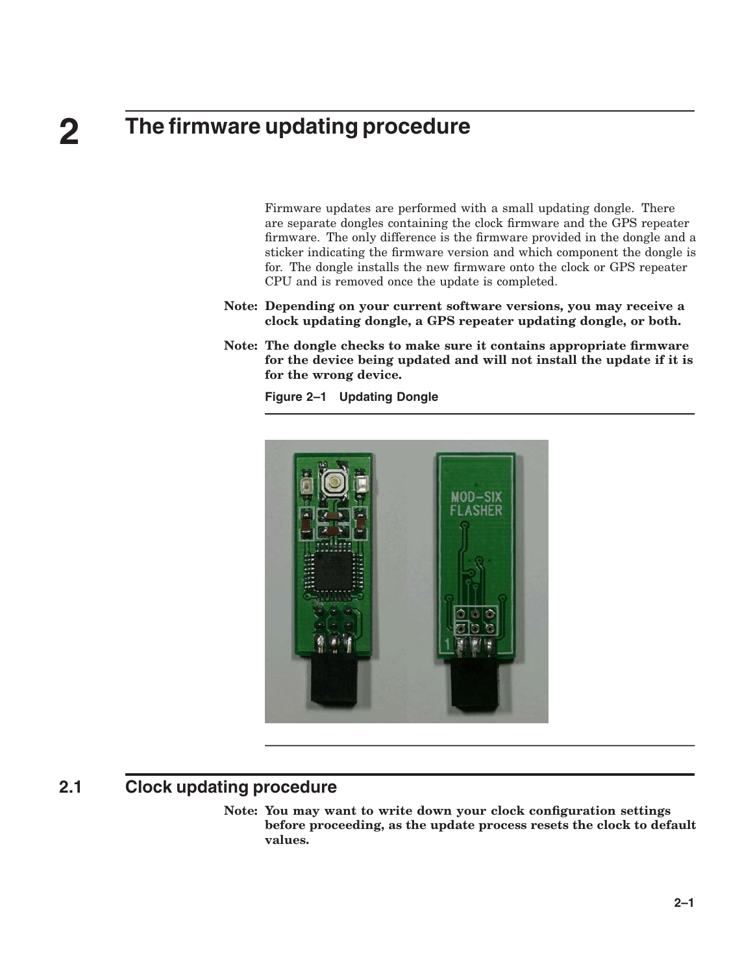# **2 The firmware updating procedure**

Firmware updates are performed with a small updating dongle. There are separate dongles containing the clock firmware and the GPS repeater firmware. The only difference is the firmware provided in the dongle and a sticker indicating the firmware version and which component the dongle is for. The dongle installs the new firmware onto the clock or GPS repeater CPU and is removed once the update is completed.

- Note: Depending on your current software versions, you may receive a clock updating dongle, a GPS repeater updating dongle, or both.
- Note: The dongle checks to make sure it contains appropriate firmware for the device being updated and will not install the update if it is for the wrong device.

**Figure 2–1 Updating Dongle**



#### **2.1 Clock updating procedure**

Note: You may want to write down your clock configuration settings before proceeding, as the update process resets the clock to default values.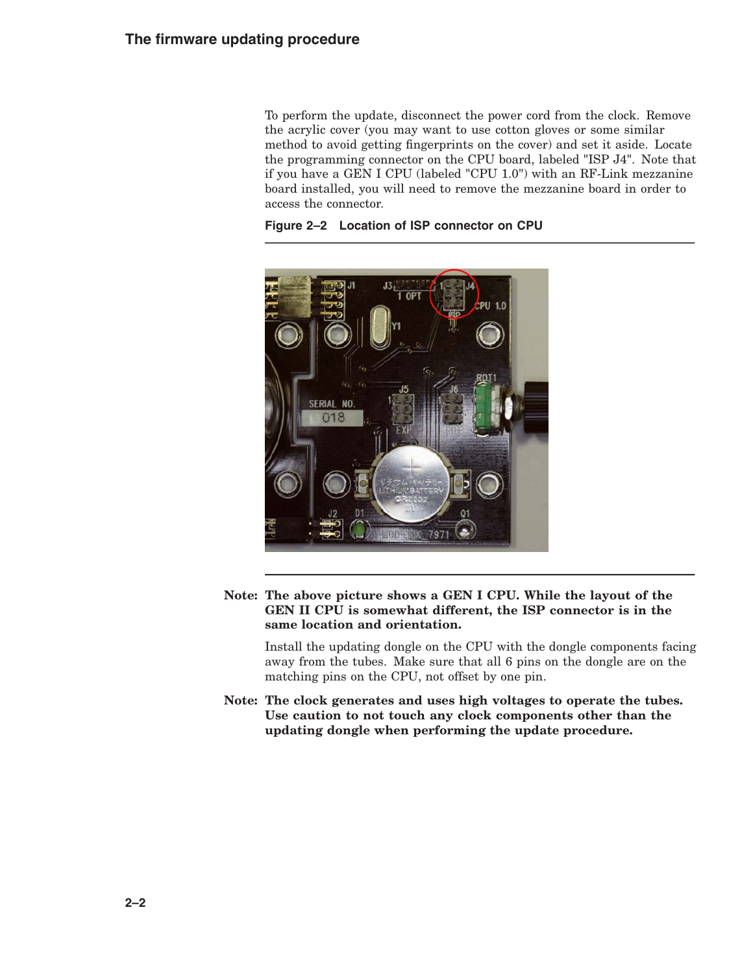To perform the update, disconnect the power cord from the clock. Remove the acrylic cover (you may want to use cotton gloves or some similar method to avoid getting fingerprints on the cover) and set it aside. Locate the programming connector on the CPU board, labeled "ISP J4". Note that if you have a GEN I CPU (labeled "CPU 1.0") with an RF-Link mezzanine board installed, you will need to remove the mezzanine board in order to access the connector.





Note: The above picture shows a GEN I CPU. While the layout of the GEN II CPU is somewhat different, the ISP connector is in the same location and orientation.

Install the updating dongle on the CPU with the dongle components facing away from the tubes. Make sure that all 6 pins on the dongle are on the matching pins on the CPU, not offset by one pin.

Note: The clock generates and uses high voltages to operate the tubes. Use caution to not touch any clock components other than the updating dongle when performing the update procedure.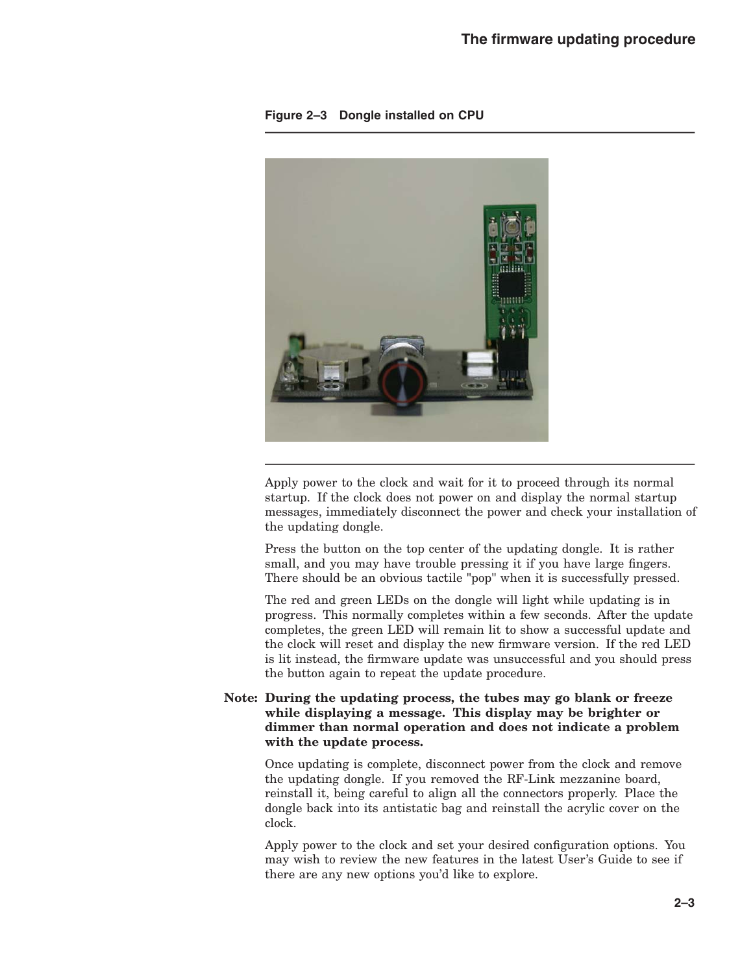

**Figure 2–3 Dongle installed on CPU**

Apply power to the clock and wait for it to proceed through its normal startup. If the clock does not power on and display the normal startup messages, immediately disconnect the power and check your installation of the updating dongle.

Press the button on the top center of the updating dongle. It is rather small, and you may have trouble pressing it if you have large fingers. There should be an obvious tactile "pop" when it is successfully pressed.

The red and green LEDs on the dongle will light while updating is in progress. This normally completes within a few seconds. After the update completes, the green LED will remain lit to show a successful update and the clock will reset and display the new firmware version. If the red LED is lit instead, the firmware update was unsuccessful and you should press the button again to repeat the update procedure.

#### Note: During the updating process, the tubes may go blank or freeze while displaying a message. This display may be brighter or dimmer than normal operation and does not indicate a problem with the update process.

Once updating is complete, disconnect power from the clock and remove the updating dongle. If you removed the RF-Link mezzanine board, reinstall it, being careful to align all the connectors properly. Place the dongle back into its antistatic bag and reinstall the acrylic cover on the clock.

Apply power to the clock and set your desired configuration options. You may wish to review the new features in the latest User's Guide to see if there are any new options you'd like to explore.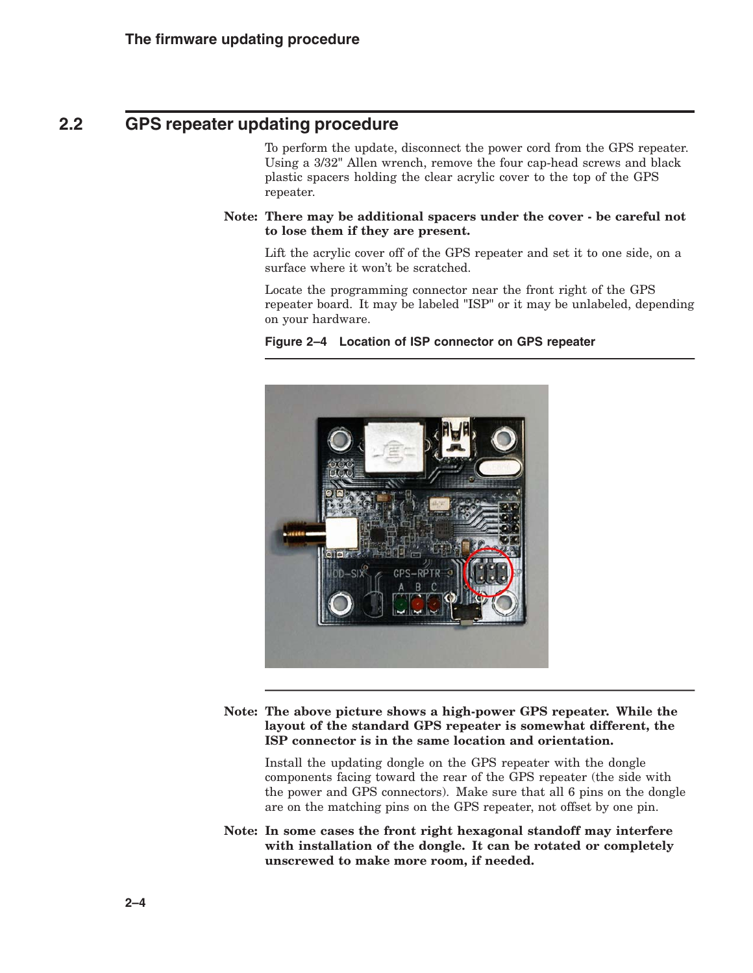### **2.2 GPS repeater updating procedure**

To perform the update, disconnect the power cord from the GPS repeater. Using a 3/32" Allen wrench, remove the four cap-head screws and black plastic spacers holding the clear acrylic cover to the top of the GPS repeater.

Note: There may be additional spacers under the cover - be careful not to lose them if they are present.

Lift the acrylic cover off of the GPS repeater and set it to one side, on a surface where it won't be scratched.

Locate the programming connector near the front right of the GPS repeater board. It may be labeled "ISP" or it may be unlabeled, depending on your hardware.



**Figure 2–4 Location of ISP connector on GPS repeater**

Note: The above picture shows a high-power GPS repeater. While the layout of the standard GPS repeater is somewhat different, the ISP connector is in the same location and orientation.

Install the updating dongle on the GPS repeater with the dongle components facing toward the rear of the GPS repeater (the side with the power and GPS connectors). Make sure that all 6 pins on the dongle are on the matching pins on the GPS repeater, not offset by one pin.

Note: In some cases the front right hexagonal standoff may interfere with installation of the dongle. It can be rotated or completely unscrewed to make more room, if needed.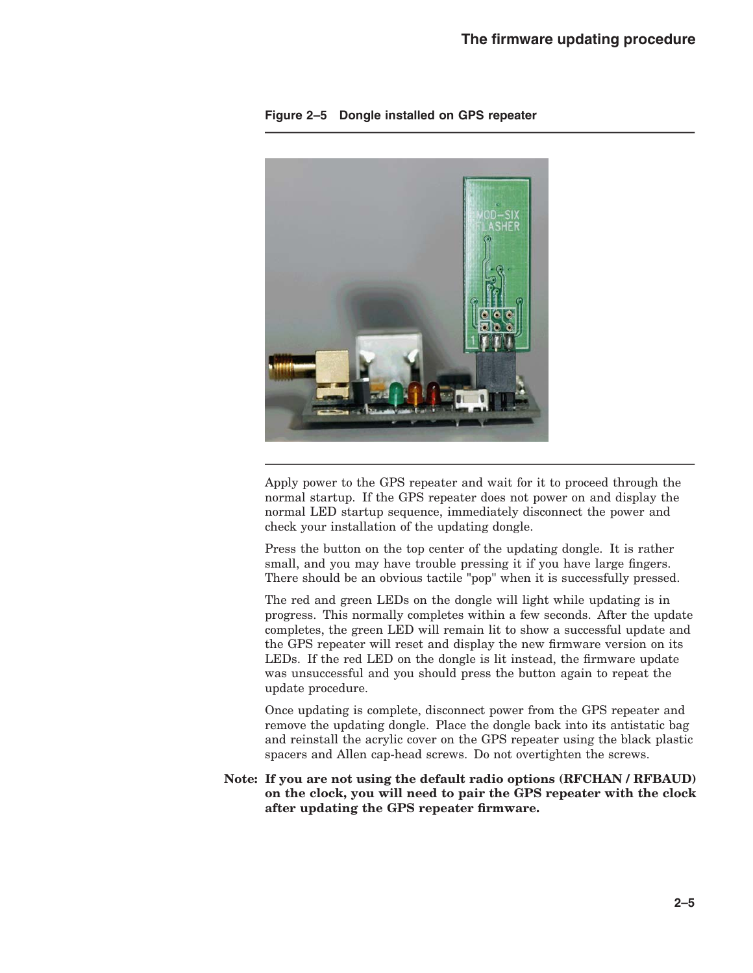

**Figure 2–5 Dongle installed on GPS repeater**

Apply power to the GPS repeater and wait for it to proceed through the normal startup. If the GPS repeater does not power on and display the normal LED startup sequence, immediately disconnect the power and check your installation of the updating dongle.

Press the button on the top center of the updating dongle. It is rather small, and you may have trouble pressing it if you have large fingers. There should be an obvious tactile "pop" when it is successfully pressed.

The red and green LEDs on the dongle will light while updating is in progress. This normally completes within a few seconds. After the update completes, the green LED will remain lit to show a successful update and the GPS repeater will reset and display the new firmware version on its LEDs. If the red LED on the dongle is lit instead, the firmware update was unsuccessful and you should press the button again to repeat the update procedure.

Once updating is complete, disconnect power from the GPS repeater and remove the updating dongle. Place the dongle back into its antistatic bag and reinstall the acrylic cover on the GPS repeater using the black plastic spacers and Allen cap-head screws. Do not overtighten the screws.

#### Note: If you are not using the default radio options (RFCHAN / RFBAUD) on the clock, you will need to pair the GPS repeater with the clock after updating the GPS repeater firmware.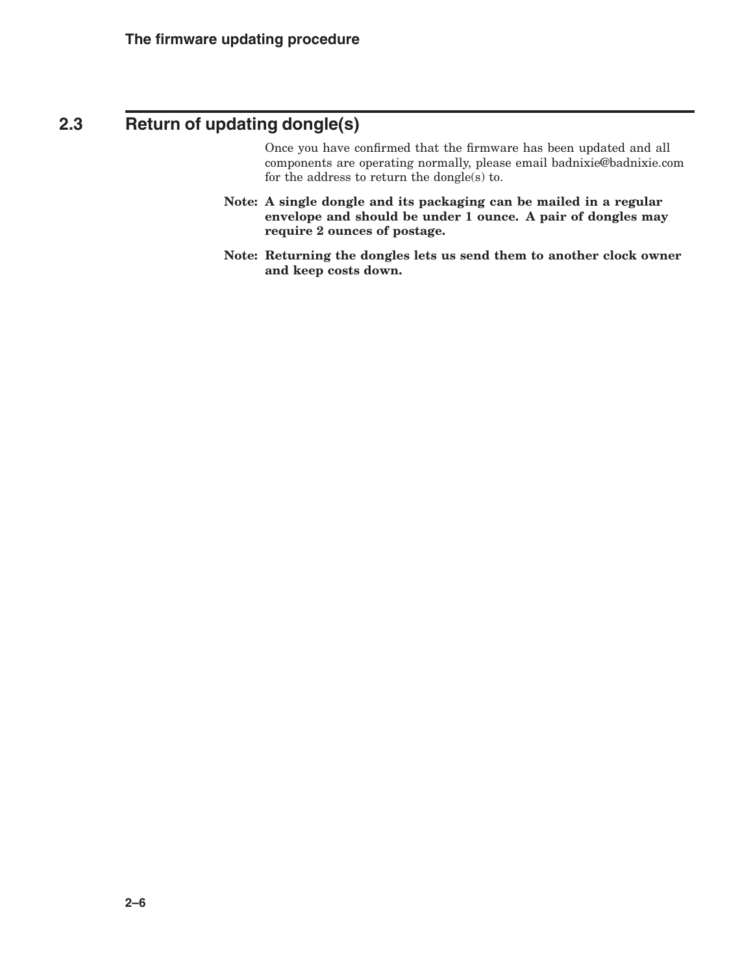## **2.3 Return of updating dongle(s)**

Once you have confirmed that the firmware has been updated and all components are operating normally, please email badnixie@badnixie.com for the address to return the dongle(s) to.

- Note: A single dongle and its packaging can be mailed in a regular envelope and should be under 1 ounce. A pair of dongles may require 2 ounces of postage.
- Note: Returning the dongles lets us send them to another clock owner and keep costs down.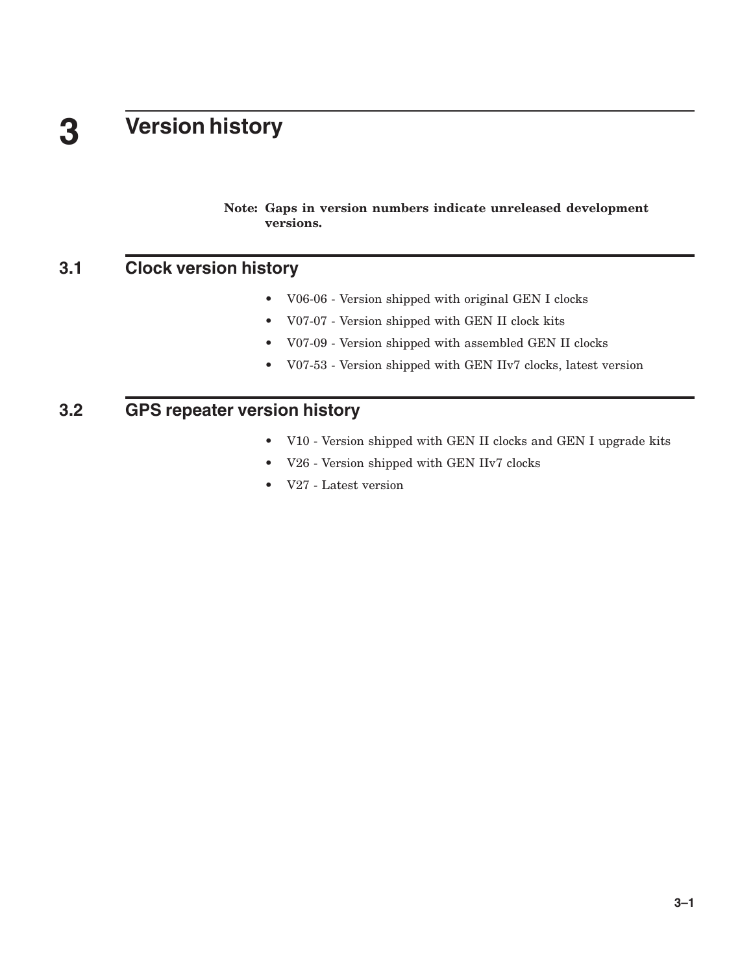# **3 Version history**

Note: Gaps in version numbers indicate unreleased development versions.

## **3.1 Clock version history**

- V06-06 Version shipped with original GEN I clocks
- V07-07 Version shipped with GEN II clock kits
- V07-09 Version shipped with assembled GEN II clocks
- V07-53 Version shipped with GEN IIv7 clocks, latest version

## **3.2 GPS repeater version history**

- V10 Version shipped with GEN II clocks and GEN I upgrade kits
- V26 Version shipped with GEN IIv7 clocks
- V27 Latest version